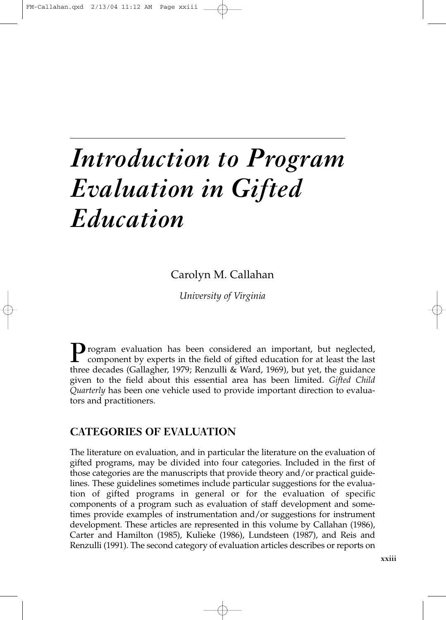# *Introduction to Program Evaluation in Gifted Education*

Carolyn M. Callahan

*University of Virginia*

**P** rogram evaluation has been considered an important, but neglected,<br>component by experts in the field of gifted education for at least the last three decades (Gallagher, 1979; Renzulli & Ward, 1969), but yet, the guidance given to the field about this essential area has been limited. *Gifted Child Quarterly* has been one vehicle used to provide important direction to evaluators and practitioners.

# **CATEGORIES OF EVALUATION**

The literature on evaluation, and in particular the literature on the evaluation of gifted programs, may be divided into four categories. Included in the first of those categories are the manuscripts that provide theory and/or practical guidelines. These guidelines sometimes include particular suggestions for the evaluation of gifted programs in general or for the evaluation of specific components of a program such as evaluation of staff development and sometimes provide examples of instrumentation and/or suggestions for instrument development. These articles are represented in this volume by Callahan (1986), Carter and Hamilton (1985), Kulieke (1986), Lundsteen (1987), and Reis and Renzulli (1991). The second category of evaluation articles describes or reports on

**xxiii**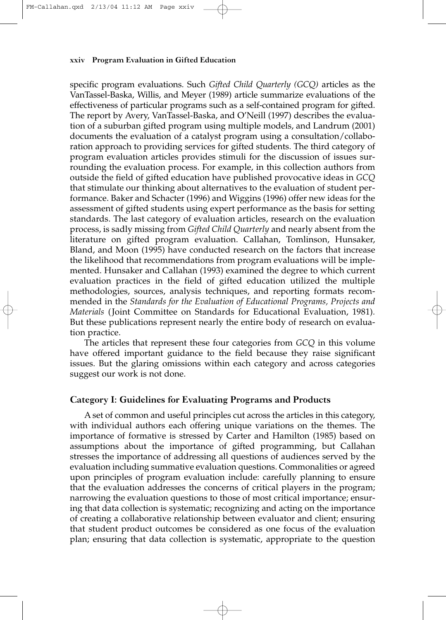#### **xxiv Program Evaluation in Gifted Education**

specific program evaluations. Such *Gifted Child Quarterly (GCQ)* articles as the VanTassel-Baska, Willis, and Meyer (1989) article summarize evaluations of the effectiveness of particular programs such as a self-contained program for gifted. The report by Avery, VanTassel-Baska, and O'Neill (1997) describes the evaluation of a suburban gifted program using multiple models, and Landrum (2001) documents the evaluation of a catalyst program using a consultation/collaboration approach to providing services for gifted students. The third category of program evaluation articles provides stimuli for the discussion of issues surrounding the evaluation process. For example, in this collection authors from outside the field of gifted education have published provocative ideas in *GCQ* that stimulate our thinking about alternatives to the evaluation of student performance. Baker and Schacter (1996) and Wiggins (1996) offer new ideas for the assessment of gifted students using expert performance as the basis for setting standards. The last category of evaluation articles, research on the evaluation process, is sadly missing from *Gifted Child Quarterly* and nearly absent from the literature on gifted program evaluation. Callahan, Tomlinson, Hunsaker, Bland, and Moon (1995) have conducted research on the factors that increase the likelihood that recommendations from program evaluations will be implemented. Hunsaker and Callahan (1993) examined the degree to which current evaluation practices in the field of gifted education utilized the multiple methodologies, sources, analysis techniques, and reporting formats recommended in the *Standards for the Evaluation of Educational Programs, Projects and Materials* (Joint Committee on Standards for Educational Evaluation, 1981)*.* But these publications represent nearly the entire body of research on evaluation practice.

The articles that represent these four categories from *GCQ* in this volume have offered important guidance to the field because they raise significant issues. But the glaring omissions within each category and across categories suggest our work is not done.

#### **Category I: Guidelines for Evaluating Programs and Products**

A set of common and useful principles cut across the articles in this category, with individual authors each offering unique variations on the themes. The importance of formative is stressed by Carter and Hamilton (1985) based on assumptions about the importance of gifted programming, but Callahan stresses the importance of addressing all questions of audiences served by the evaluation including summative evaluation questions. Commonalities or agreed upon principles of program evaluation include: carefully planning to ensure that the evaluation addresses the concerns of critical players in the program; narrowing the evaluation questions to those of most critical importance; ensuring that data collection is systematic; recognizing and acting on the importance of creating a collaborative relationship between evaluator and client; ensuring that student product outcomes be considered as one focus of the evaluation plan; ensuring that data collection is systematic, appropriate to the question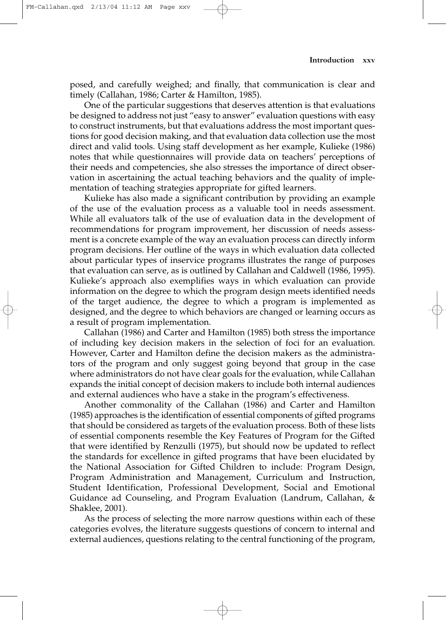posed, and carefully weighed; and finally, that communication is clear and timely (Callahan, 1986; Carter & Hamilton, 1985).

One of the particular suggestions that deserves attention is that evaluations be designed to address not just "easy to answer" evaluation questions with easy to construct instruments, but that evaluations address the most important questions for good decision making, and that evaluation data collection use the most direct and valid tools. Using staff development as her example, Kulieke (1986) notes that while questionnaires will provide data on teachers' perceptions of their needs and competencies, she also stresses the importance of direct observation in ascertaining the actual teaching behaviors and the quality of implementation of teaching strategies appropriate for gifted learners.

Kulieke has also made a significant contribution by providing an example of the use of the evaluation process as a valuable tool in needs assessment. While all evaluators talk of the use of evaluation data in the development of recommendations for program improvement, her discussion of needs assessment is a concrete example of the way an evaluation process can directly inform program decisions. Her outline of the ways in which evaluation data collected about particular types of inservice programs illustrates the range of purposes that evaluation can serve, as is outlined by Callahan and Caldwell (1986, 1995). Kulieke's approach also exemplifies ways in which evaluation can provide information on the degree to which the program design meets identified needs of the target audience, the degree to which a program is implemented as designed, and the degree to which behaviors are changed or learning occurs as a result of program implementation.

Callahan (1986) and Carter and Hamilton (1985) both stress the importance of including key decision makers in the selection of foci for an evaluation. However, Carter and Hamilton define the decision makers as the administrators of the program and only suggest going beyond that group in the case where administrators do not have clear goals for the evaluation, while Callahan expands the initial concept of decision makers to include both internal audiences and external audiences who have a stake in the program's effectiveness.

Another commonality of the Callahan (1986) and Carter and Hamilton (1985) approaches is the identification of essential components of gifted programs that should be considered as targets of the evaluation process. Both of these lists of essential components resemble the Key Features of Program for the Gifted that were identified by Renzulli (1975), but should now be updated to reflect the standards for excellence in gifted programs that have been elucidated by the National Association for Gifted Children to include: Program Design, Program Administration and Management, Curriculum and Instruction, Student Identification, Professional Development, Social and Emotional Guidance ad Counseling, and Program Evaluation (Landrum, Callahan, & Shaklee, 2001).

As the process of selecting the more narrow questions within each of these categories evolves, the literature suggests questions of concern to internal and external audiences, questions relating to the central functioning of the program,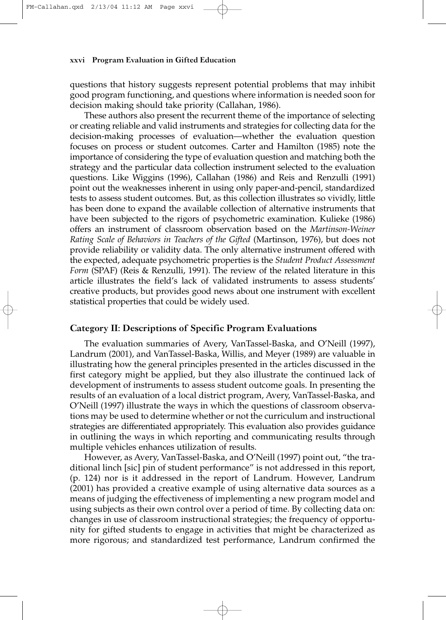#### **xxvi Program Evaluation in Gifted Education**

questions that history suggests represent potential problems that may inhibit good program functioning, and questions where information is needed soon for decision making should take priority (Callahan, 1986).

These authors also present the recurrent theme of the importance of selecting or creating reliable and valid instruments and strategies for collecting data for the decision-making processes of evaluation—whether the evaluation question focuses on process or student outcomes. Carter and Hamilton (1985) note the importance of considering the type of evaluation question and matching both the strategy and the particular data collection instrument selected to the evaluation questions. Like Wiggins (1996), Callahan (1986) and Reis and Renzulli (1991) point out the weaknesses inherent in using only paper-and-pencil, standardized tests to assess student outcomes. But, as this collection illustrates so vividly, little has been done to expand the available collection of alternative instruments that have been subjected to the rigors of psychometric examination. Kulieke (1986) offers an instrument of classroom observation based on the *Martinson-Weiner Rating Scale of Behaviors in Teachers of the Gifted* (Martinson, 1976), but does not provide reliability or validity data. The only alternative instrument offered with the expected, adequate psychometric properties is the *Student Product Assessment Form* (SPAF) (Reis & Renzulli, 1991). The review of the related literature in this article illustrates the field's lack of validated instruments to assess students' creative products, but provides good news about one instrument with excellent statistical properties that could be widely used.

# **Category II: Descriptions of Specific Program Evaluations**

The evaluation summaries of Avery, VanTassel-Baska, and O'Neill (1997), Landrum (2001), and VanTassel-Baska, Willis, and Meyer (1989) are valuable in illustrating how the general principles presented in the articles discussed in the first category might be applied, but they also illustrate the continued lack of development of instruments to assess student outcome goals. In presenting the results of an evaluation of a local district program, Avery, VanTassel-Baska, and O'Neill (1997) illustrate the ways in which the questions of classroom observations may be used to determine whether or not the curriculum and instructional strategies are differentiated appropriately. This evaluation also provides guidance in outlining the ways in which reporting and communicating results through multiple vehicles enhances utilization of results.

However, as Avery, VanTassel-Baska, and O'Neill (1997) point out, "the traditional linch [sic] pin of student performance" is not addressed in this report, (p. 124) nor is it addressed in the report of Landrum. However, Landrum (2001) has provided a creative example of using alternative data sources as a means of judging the effectiveness of implementing a new program model and using subjects as their own control over a period of time. By collecting data on: changes in use of classroom instructional strategies; the frequency of opportunity for gifted students to engage in activities that might be characterized as more rigorous; and standardized test performance, Landrum confirmed the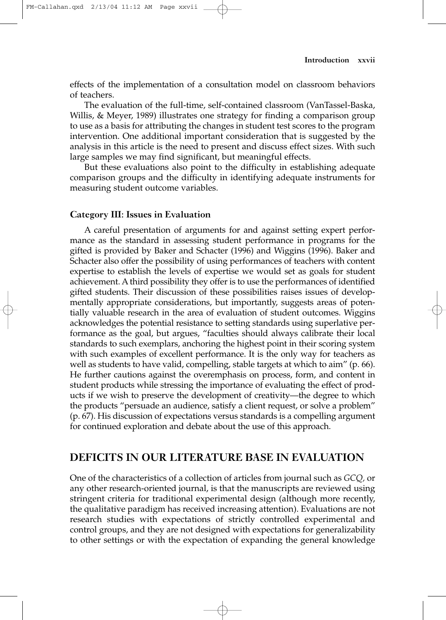effects of the implementation of a consultation model on classroom behaviors of teachers.

The evaluation of the full-time, self-contained classroom (VanTassel-Baska, Willis, & Meyer, 1989) illustrates one strategy for finding a comparison group to use as a basis for attributing the changes in student test scores to the program intervention. One additional important consideration that is suggested by the analysis in this article is the need to present and discuss effect sizes. With such large samples we may find significant, but meaningful effects.

But these evaluations also point to the difficulty in establishing adequate comparison groups and the difficulty in identifying adequate instruments for measuring student outcome variables.

# **Category III: Issues in Evaluation**

A careful presentation of arguments for and against setting expert performance as the standard in assessing student performance in programs for the gifted is provided by Baker and Schacter (1996) and Wiggins (1996). Baker and Schacter also offer the possibility of using performances of teachers with content expertise to establish the levels of expertise we would set as goals for student achievement. A third possibility they offer is to use the performances of identified gifted students. Their discussion of these possibilities raises issues of developmentally appropriate considerations, but importantly, suggests areas of potentially valuable research in the area of evaluation of student outcomes. Wiggins acknowledges the potential resistance to setting standards using superlative performance as the goal, but argues, "faculties should always calibrate their local standards to such exemplars, anchoring the highest point in their scoring system with such examples of excellent performance. It is the only way for teachers as well as students to have valid, compelling, stable targets at which to aim" (p. 66). He further cautions against the overemphasis on process, form, and content in student products while stressing the importance of evaluating the effect of products if we wish to preserve the development of creativity—the degree to which the products "persuade an audience, satisfy a client request, or solve a problem" (p. 67). His discussion of expectations versus standards is a compelling argument for continued exploration and debate about the use of this approach.

# **DEFICITS IN OUR LITERATURE BASE IN EVALUATION**

One of the characteristics of a collection of articles from journal such as *GCQ,* or any other research-oriented journal, is that the manuscripts are reviewed using stringent criteria for traditional experimental design (although more recently, the qualitative paradigm has received increasing attention). Evaluations are not research studies with expectations of strictly controlled experimental and control groups, and they are not designed with expectations for generalizability to other settings or with the expectation of expanding the general knowledge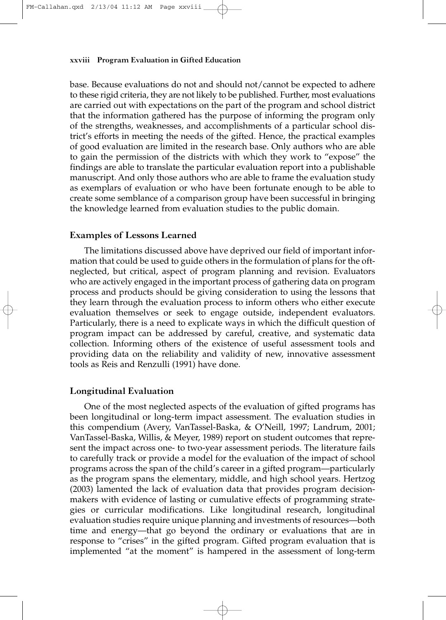#### **xxviii Program Evaluation in Gifted Education**

base. Because evaluations do not and should not/cannot be expected to adhere to these rigid criteria, they are not likely to be published. Further, most evaluations are carried out with expectations on the part of the program and school district that the information gathered has the purpose of informing the program only of the strengths, weaknesses, and accomplishments of a particular school district's efforts in meeting the needs of the gifted. Hence, the practical examples of good evaluation are limited in the research base. Only authors who are able to gain the permission of the districts with which they work to "expose" the findings are able to translate the particular evaluation report into a publishable manuscript. And only those authors who are able to frame the evaluation study as exemplars of evaluation or who have been fortunate enough to be able to create some semblance of a comparison group have been successful in bringing the knowledge learned from evaluation studies to the public domain.

# **Examples of Lessons Learned**

The limitations discussed above have deprived our field of important information that could be used to guide others in the formulation of plans for the oftneglected, but critical, aspect of program planning and revision. Evaluators who are actively engaged in the important process of gathering data on program process and products should be giving consideration to using the lessons that they learn through the evaluation process to inform others who either execute evaluation themselves or seek to engage outside, independent evaluators. Particularly, there is a need to explicate ways in which the difficult question of program impact can be addressed by careful, creative, and systematic data collection. Informing others of the existence of useful assessment tools and providing data on the reliability and validity of new, innovative assessment tools as Reis and Renzulli (1991) have done.

# **Longitudinal Evaluation**

One of the most neglected aspects of the evaluation of gifted programs has been longitudinal or long-term impact assessment. The evaluation studies in this compendium (Avery, VanTassel-Baska, & O'Neill, 1997; Landrum, 2001; VanTassel-Baska, Willis, & Meyer, 1989) report on student outcomes that represent the impact across one- to two-year assessment periods. The literature fails to carefully track or provide a model for the evaluation of the impact of school programs across the span of the child's career in a gifted program—particularly as the program spans the elementary, middle, and high school years. Hertzog (2003) lamented the lack of evaluation data that provides program decisionmakers with evidence of lasting or cumulative effects of programming strategies or curricular modifications. Like longitudinal research, longitudinal evaluation studies require unique planning and investments of resources—both time and energy—that go beyond the ordinary or evaluations that are in response to "crises" in the gifted program. Gifted program evaluation that is implemented "at the moment" is hampered in the assessment of long-term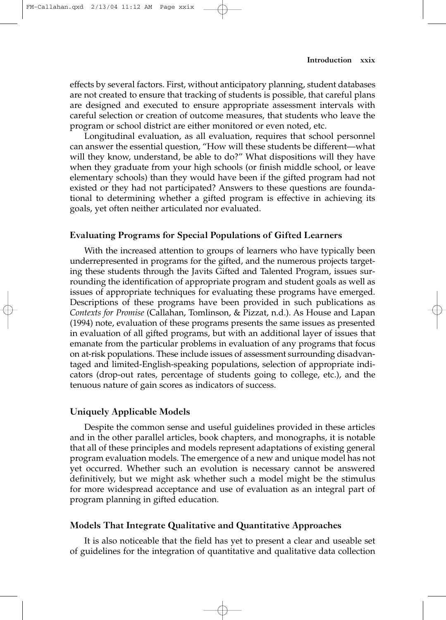effects by several factors. First, without anticipatory planning, student databases are not created to ensure that tracking of students is possible, that careful plans are designed and executed to ensure appropriate assessment intervals with careful selection or creation of outcome measures, that students who leave the program or school district are either monitored or even noted, etc.

Longitudinal evaluation, as all evaluation, requires that school personnel can answer the essential question, "How will these students be different—what will they know, understand, be able to do?" What dispositions will they have when they graduate from your high schools (or finish middle school, or leave elementary schools) than they would have been if the gifted program had not existed or they had not participated? Answers to these questions are foundational to determining whether a gifted program is effective in achieving its goals, yet often neither articulated nor evaluated.

# **Evaluating Programs for Special Populations of Gifted Learners**

With the increased attention to groups of learners who have typically been underrepresented in programs for the gifted, and the numerous projects targeting these students through the Javits Gifted and Talented Program, issues surrounding the identification of appropriate program and student goals as well as issues of appropriate techniques for evaluating these programs have emerged. Descriptions of these programs have been provided in such publications as *Contexts for Promise* (Callahan, Tomlinson, & Pizzat, n.d.). As House and Lapan (1994) note, evaluation of these programs presents the same issues as presented in evaluation of all gifted programs, but with an additional layer of issues that emanate from the particular problems in evaluation of any programs that focus on at-risk populations. These include issues of assessment surrounding disadvantaged and limited-English-speaking populations, selection of appropriate indicators (drop-out rates, percentage of students going to college, etc.), and the tenuous nature of gain scores as indicators of success.

#### **Uniquely Applicable Models**

Despite the common sense and useful guidelines provided in these articles and in the other parallel articles, book chapters, and monographs, it is notable that all of these principles and models represent adaptations of existing general program evaluation models. The emergence of a new and unique model has not yet occurred. Whether such an evolution is necessary cannot be answered definitively, but we might ask whether such a model might be the stimulus for more widespread acceptance and use of evaluation as an integral part of program planning in gifted education.

### **Models That Integrate Qualitative and Quantitative Approaches**

It is also noticeable that the field has yet to present a clear and useable set of guidelines for the integration of quantitative and qualitative data collection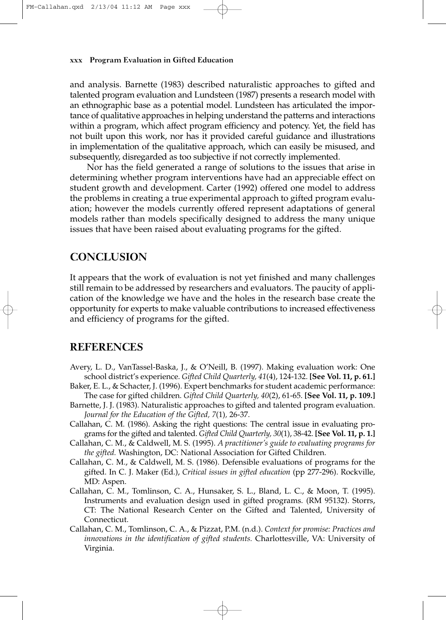#### **xxx Program Evaluation in Gifted Education**

and analysis. Barnette (1983) described naturalistic approaches to gifted and talented program evaluation and Lundsteen (1987) presents a research model with an ethnographic base as a potential model. Lundsteen has articulated the importance of qualitative approaches in helping understand the patterns and interactions within a program, which affect program efficiency and potency. Yet, the field has not built upon this work, nor has it provided careful guidance and illustrations in implementation of the qualitative approach, which can easily be misused, and subsequently, disregarded as too subjective if not correctly implemented.

Nor has the field generated a range of solutions to the issues that arise in determining whether program interventions have had an appreciable effect on student growth and development. Carter (1992) offered one model to address the problems in creating a true experimental approach to gifted program evaluation; however the models currently offered represent adaptations of general models rather than models specifically designed to address the many unique issues that have been raised about evaluating programs for the gifted.

# **CONCLUSION**

It appears that the work of evaluation is not yet finished and many challenges still remain to be addressed by researchers and evaluators. The paucity of application of the knowledge we have and the holes in the research base create the opportunity for experts to make valuable contributions to increased effectiveness and efficiency of programs for the gifted.

# **REFERENCES**

- Avery, L. D., VanTassel-Baska, J., & O'Neill, B. (1997). Making evaluation work: One school district's experience. *Gifted Child Quarterly, 41*(4), 124-132. **[See Vol. 11, p. 61.]**
- Baker, E. L., & Schacter, J. (1996). Expert benchmarks for student academic performance: The case for gifted children. *Gifted Child Quarterly, 40*(2), 61-65. **[See Vol. 11, p. 109.]**
- Barnette, J. J. (1983). Naturalistic approaches to gifted and talented program evaluation. *Journal for the Education of the Gifted, 7*(1)*,* 26-37.
- Callahan, C. M. (1986). Asking the right questions: The central issue in evaluating programs for the gifted and talented. *Gifted Child Quarterly, 30*(1), 38-42. **[See Vol. 11, p. 1.]**
- Callahan, C. M., & Caldwell, M. S. (1995). *A practitioner's guide to evaluating programs for the gifted.* Washington, DC: National Association for Gifted Children.
- Callahan, C. M., & Caldwell, M. S. (1986). Defensible evaluations of programs for the gifted. In C. J. Maker (Ed.), *Critical issues in gifted education* (pp 277-296). Rockville, MD: Aspen.
- Callahan, C. M., Tomlinson, C. A., Hunsaker, S. L., Bland, L. C., & Moon, T. (1995). Instruments and evaluation design used in gifted programs. (RM 95132). Storrs, CT: The National Research Center on the Gifted and Talented, University of Connecticut.
- Callahan, C. M., Tomlinson, C. A., & Pizzat, P.M. (n.d.). *Context for promise: Practices and innovations in the identification of gifted students.* Charlottesville, VA: University of Virginia.